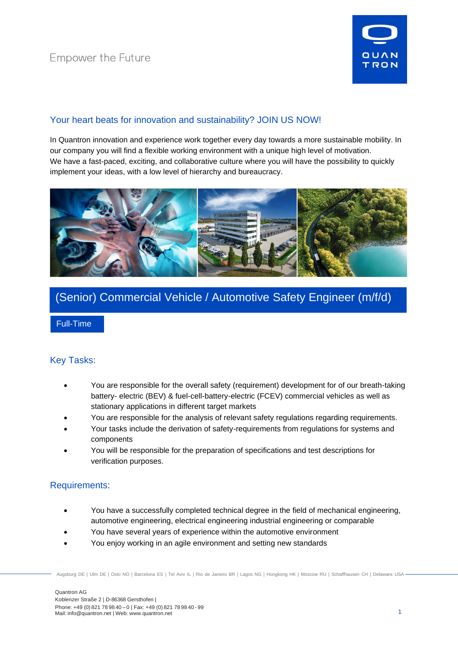

## Your heart beats for innovation and sustainability? JOIN US NOW!

In Quantron innovation and experience work together every day towards a more sustainable mobility. In our company you will find a flexible working environment with a unique high level of motivation. We have a fast-paced, exciting, and collaborative culture where you will have the possibility to quickly implement your ideas, with a low level of hierarchy and bureaucracy.



# (Senior) Commercial Vehicle / Automotive Safety Engineer (m/f/d)

Full-Time

## Key Tasks:

- You are responsible for the overall safety (requirement) development for of our breath-taking battery- electric (BEV) & fuel-cell-battery-electric (FCEV) commercial vehicles as well as stationary applications in different target markets
- You are responsible for the analysis of relevant safety regulations regarding requirements.
- Your tasks include the derivation of safety-requirements from regulations for systems and components
- You will be responsible for the preparation of specifications and test descriptions for verification purposes.

### Requirements:

- You have a successfully completed technical degree in the field of mechanical engineering, automotive engineering, electrical engineering industrial engineering or comparable
- You have several years of experience within the automotive environment
- You enjoy working in an agile environment and setting new standards

Augsburg DE | Ulm DE | Oslo NO | Barcelona ES | Tel Aviv IL | Rio de Janeiro BR | Lagos NG | Hongkong HK | Moscow RU | Schaffhausen CH | Delaware USA